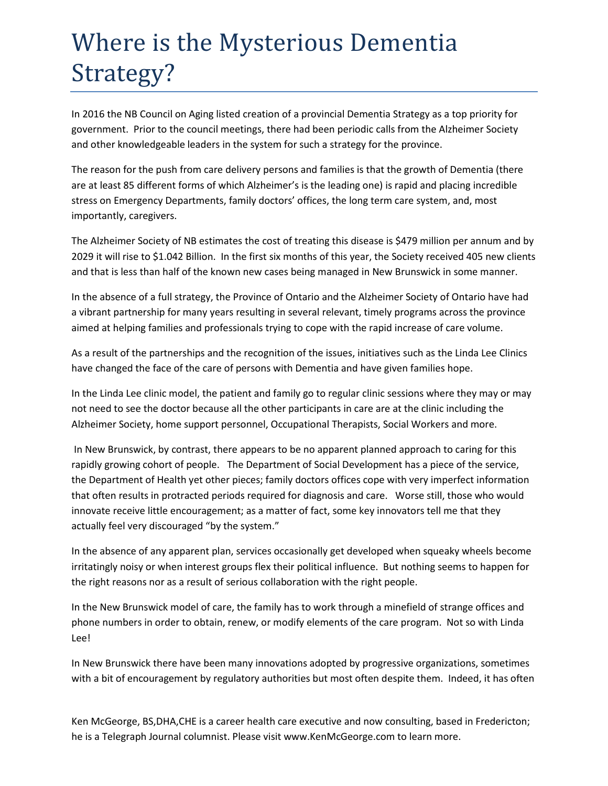## Where is the Mysterious Dementia Strategy?

In 2016 the NB Council on Aging listed creation of a provincial Dementia Strategy as a top priority for government. Prior to the council meetings, there had been periodic calls from the Alzheimer Society and other knowledgeable leaders in the system for such a strategy for the province.

The reason for the push from care delivery persons and families is that the growth of Dementia (there are at least 85 different forms of which Alzheimer's is the leading one) is rapid and placing incredible stress on Emergency Departments, family doctors' offices, the long term care system, and, most importantly, caregivers.

The Alzheimer Society of NB estimates the cost of treating this disease is \$479 million per annum and by 2029 it will rise to \$1.042 Billion. In the first six months of this year, the Society received 405 new clients and that is less than half of the known new cases being managed in New Brunswick in some manner.

In the absence of a full strategy, the Province of Ontario and the Alzheimer Society of Ontario have had a vibrant partnership for many years resulting in several relevant, timely programs across the province aimed at helping families and professionals trying to cope with the rapid increase of care volume.

As a result of the partnerships and the recognition of the issues, initiatives such as the Linda Lee Clinics have changed the face of the care of persons with Dementia and have given families hope.

In the Linda Lee clinic model, the patient and family go to regular clinic sessions where they may or may not need to see the doctor because all the other participants in care are at the clinic including the Alzheimer Society, home support personnel, Occupational Therapists, Social Workers and more.

In New Brunswick, by contrast, there appears to be no apparent planned approach to caring for this rapidly growing cohort of people. The Department of Social Development has a piece of the service, the Department of Health yet other pieces; family doctors offices cope with very imperfect information that often results in protracted periods required for diagnosis and care. Worse still, those who would innovate receive little encouragement; as a matter of fact, some key innovators tell me that they actually feel very discouraged "by the system."

In the absence of any apparent plan, services occasionally get developed when squeaky wheels become irritatingly noisy or when interest groups flex their political influence. But nothing seems to happen for the right reasons nor as a result of serious collaboration with the right people.

In the New Brunswick model of care, the family has to work through a minefield of strange offices and phone numbers in order to obtain, renew, or modify elements of the care program. Not so with Linda Lee!

In New Brunswick there have been many innovations adopted by progressive organizations, sometimes with a bit of encouragement by regulatory authorities but most often despite them. Indeed, it has often

Ken McGeorge, BS,DHA,CHE is a career health care executive and now consulting, based in Fredericton; he is a Telegraph Journal columnist. Please visit www.KenMcGeorge.com to learn more.